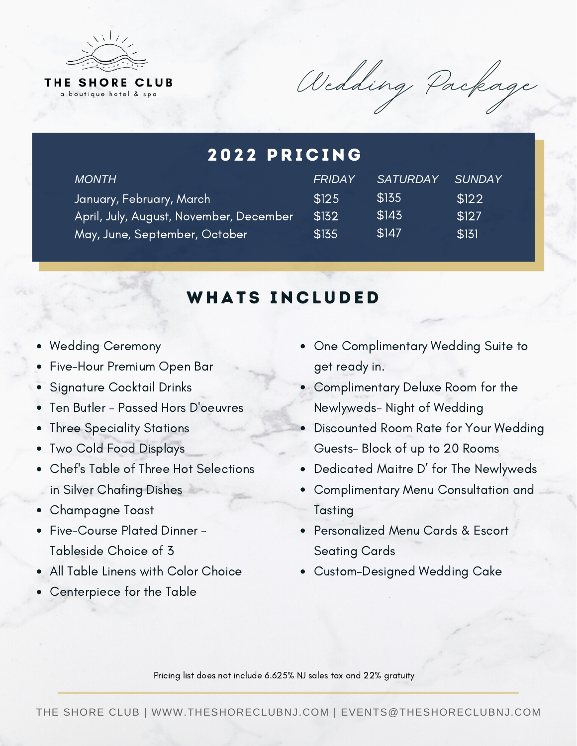

Wedding Package

#### January, February, March April, July, August, November, December May, June, September, October \$125 \$132 \$135 \$135 \$143 \$147 \$122 \$127 \$131 2022 PRICING *MONTH FRIDAY SATURDAY SUNDAY*

## WHATS INCLUDED

- Wedding Ceremony
- Five-Hour Premium Open Bar
- **Signature Cocktail Drinks**
- Ten Butler Passed Hors D'oeuvres
- Three Speciality Stations
- Two Cold Food Displays
- Chef's Table of Three Hot Selections **in Silver Chafing Dishes**
- Champagne Toast
- Five-Course Plated Dinner -Tableside Choice of 3
- All Table Linens with Color Choice
- Centerpiece for the Table
- One Complimentary Wedding Suite to get ready in.
- Complimentary Deluxe Room for the Newlyweds- Night of Wedding
- Discounted Room Rate for Your Wedding Guests- Block of up to 20 Rooms
- Dedicated Maitre D' for The Newlyweds
- Complimentary Menu Consultation and Tasting
- Personalized Menu Cards & Escort Seating Cards
- Custom-Designed Wedding Cake

Pricing list does not include 6.625% NJ sales tax and 22% gratuity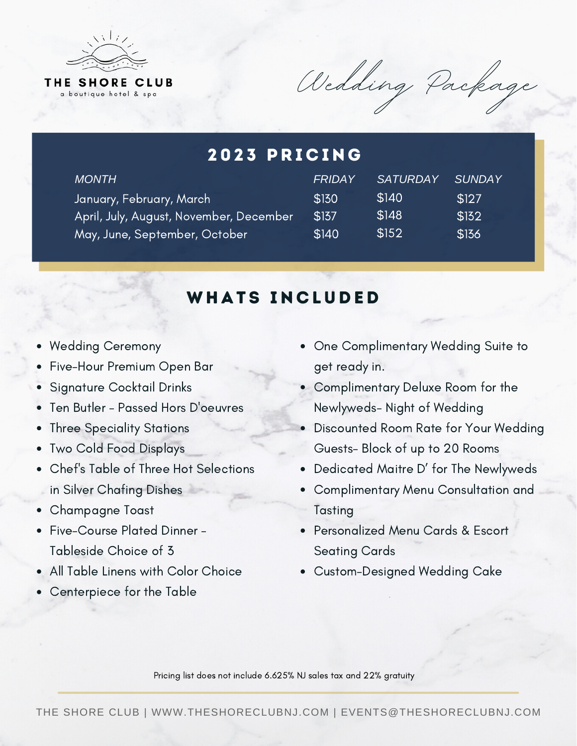

Wedding Package

#### January, February, March April, July, August, November, December May, June, September, October \$130 \$137 \$140 \$140 \$148 \$152 \$127 \$132 \$136 2023 PRICING *MONTH FRIDAY SATURDAY SUNDAY*

## WHATS INCLUDED

- Wedding Ceremony
- Five-Hour Premium Open Bar
- **Signature Cocktail Drinks**
- Ten Butler Passed Hors D'oeuvres
- Three Speciality Stations
- Two Cold Food Displays
- Chef's Table of Three Hot Selections **in Silver Chafing Dishes**
- Champagne Toast
- Five-Course Plated Dinner -Tableside Choice of 3
- All Table Linens with Color Choice
- Centerpiece for the Table
- One Complimentary Wedding Suite to get ready in.
- Complimentary Deluxe Room for the Newlyweds- Night of Wedding
- Discounted Room Rate for Your Wedding Guests- Block of up to 20 Rooms
- Dedicated Maitre D' for The Newlyweds
- Complimentary Menu Consultation and Tasting
- Personalized Menu Cards & Escort Seating Cards
- Custom-Designed Wedding Cake

Pricing list does not include 6.625% NJ sales tax and 22% gratuity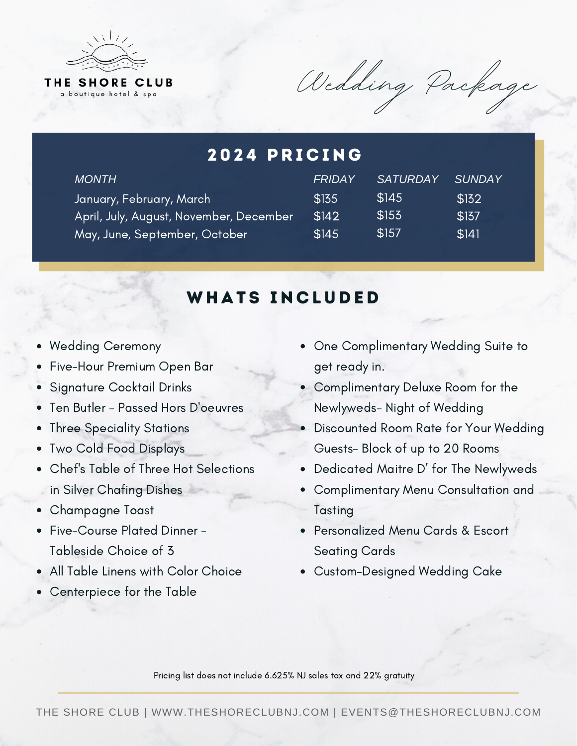

Wedding Package

#### January, February, March April, July, August, November, December May, June, September, October \$135 \$142 \$145 \$145 \$153 \$157 \$132 \$137 \$141 2024 PRICING *MONTH FRIDAY SATURDAY SUNDAY*

#### WHATS INCLUDED

- Wedding Ceremony
- Five-Hour Premium Open Bar
- **Signature Cocktail Drinks**
- Ten Butler Passed Hors D'oeuvres
- Three Speciality Stations
- Two Cold Food Displays
- Chef's Table of Three Hot Selections **in Silver Chafing Dishes**
- Champagne Toast
- Five-Course Plated Dinner -Tableside Choice of 3
- All Table Linens with Color Choice
- Centerpiece for the Table
- One Complimentary Wedding Suite to get ready in.
- Complimentary Deluxe Room for the Newlyweds- Night of Wedding
- Discounted Room Rate for Your Wedding Guests- Block of up to 20 Rooms
- Dedicated Maitre D' for The Newlyweds
- Complimentary Menu Consultation and Tasting
- Personalized Menu Cards & Escort Seating Cards
- Custom-Designed Wedding Cake

Pricing list does not include 6.625% NJ sales tax and 22% gratuity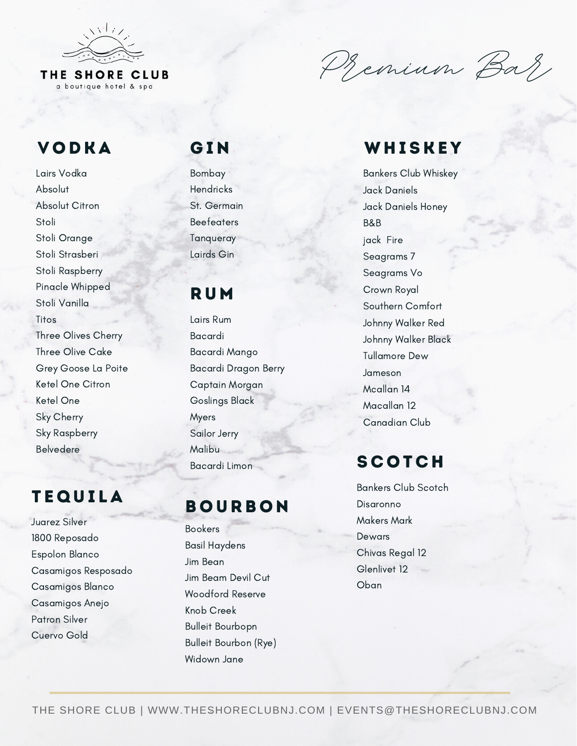

a boutique hotel & spa

Premium Bar,

#### VODKA GIN

Lairs Vodka Absolut Absolut Citron Stoli Stoli Orange Stoli Strasberi Stoli Raspberry Pinacle Whipped Stoli Vanilla Titos Three Olives Cherry Three Olive Cake Grey Goose La Poite Ketel One Citron Ketel One Sky Cherry Sky Raspberry Belvedere

#### **TEQUILA**

Juarez Silver 1800 Reposado Espolon Blanco Casamigos Resposado Casamigos Blanco Casamigos Anejo Patron Silver Cuervo Gold

Bombay **Hendricks** St. Germain **Beefeaters** Tanqueray Lairds Gin

#### **RUM**

Lairs Rum Bacardi Bacardi Mango Bacardi Dragon Berry Captain Morgan Goslings Black Myers Sailor Jerry Malibu Bacardi Limon

## **BOURBON**

Bookers Basil Haydens Jim Bean Jim Beam Devil Cut Woodford Reserve Knob Creek Bulleit Bourbopn Bulleit Bourbon (Rye) Widown Jane

#### WHISKEY

Bankers Club Whiskey Jack Daniels Jack Daniels Honey B&B jack Fire Seagrams 7 Seagrams Vo Crown Royal Southern Comfort Johnny Walker Red Johnny Walker Black Tullamore Dew Jameson Mcallan 14 Macallan 12 Canadian Club

## **SCOTCH**

Bankers Club Scotch Disaronno Makers Mark Dewars Chivas Regal 12 Glenlivet 12 Oban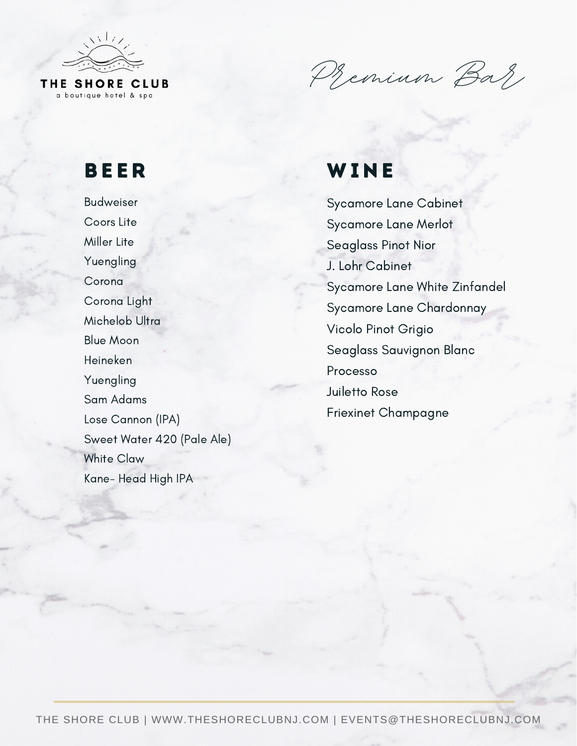

a boutique hotel & spa

Premium Bar

# BE ER

Budweiser Coors Lite Miller Lite Yuengling **Corona** Corona Light Michelob Ultra Blue Moon Heineken Yuengling Sam Adams Lose Cannon (IPA) Sweet Water 420 (Pale Ale) White Claw Kane- Head High IPA

# **WINE**

Sycamore Lane Cabinet Sycamore Lane Merlot Seaglass Pinot Nior J. Lohr Cabinet Sycamore Lane White Zinfandel Sycamore Lane Chardonnay Vicolo Pinot Grigio Seaglass Sauvignon Blanc Processo Juiletto Rose Friexinet Champagne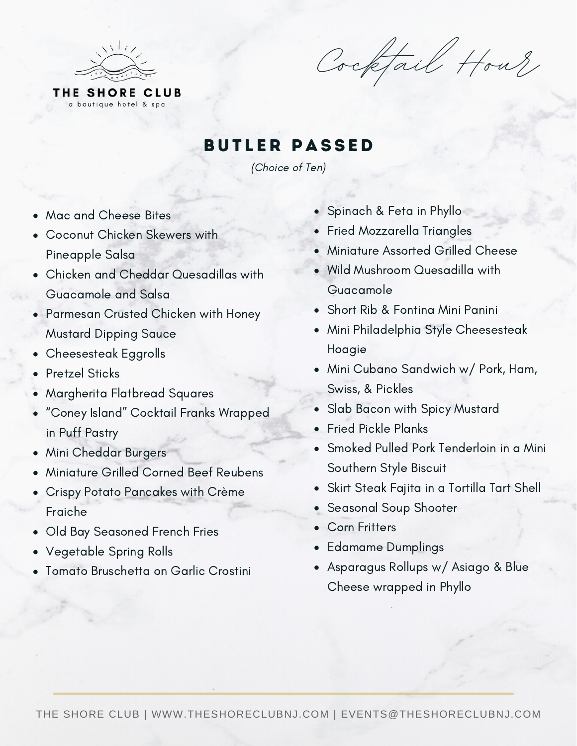

Cocktail Hour

**BUTLER PASSED** 

(Choice of Ten)

- Mac and Cheese Bites
- Coconut Chicken Skewers with Pineapple Salsa
- Chicken and Cheddar Quesadillas with Guacamole and Salsa
- Parmesan Crusted Chicken with Honey Mustard Dipping Sauce
- Cheesesteak Eggrolls
- Pretzel Sticks
- Margherita Flatbread Squares
- "Coney Island" Cocktail Franks Wrapped in Puff Pastry
- Mini Cheddar Burgers
- Miniature Grilled Corned Beef Reubens
- Crispy Potato Pancakes with Crème Fraiche
- Old Bay Seasoned French Fries
- Vegetable Spring Rolls
- Tomato Bruschetta on Garlic Crostini
- Spinach & Feta in Phyllo
- Fried Mozzarella Triangles
- Miniature Assorted Grilled Cheese
- Wild Mushroom Quesadilla with Guacamole
- Short Rib & Fontina Mini Panini
- Mini Philadelphia Style Cheesesteak Hoagie
- Mini Cubano Sandwich w/ Pork, Ham, Swiss, & Pickles
- Slab Bacon with Spicy Mustard
- Fried Pickle Planks
- Smoked Pulled Pork Tenderloin in a Mini Southern Style Biscuit
- Skirt Steak Fajita in a Tortilla Tart Shell
- Seasonal Soup Shooter
- Corn Fritters
- Edamame Dumplings
- Asparagus Rollups w/ Asiago & Blue Cheese wrapped in Phyllo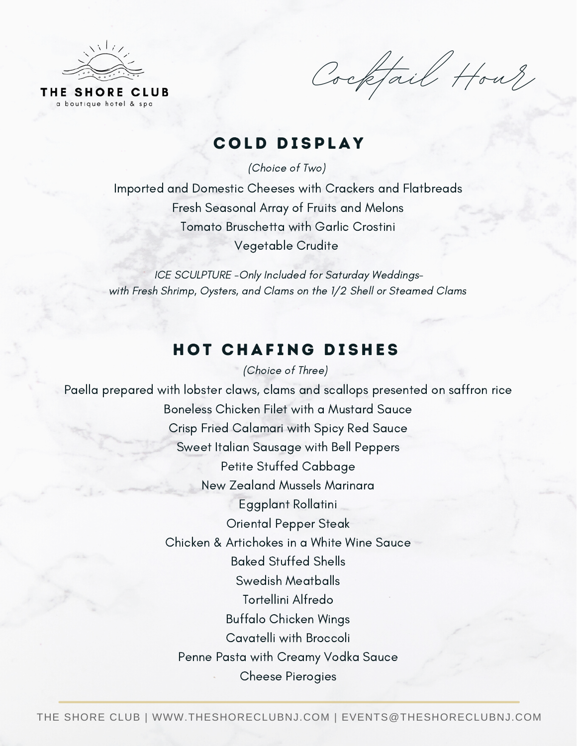

Cocktail Hour

#### COLD DISPLAY

(Choice of Two)

Imported and Domestic Cheeses with Crackers and Flatbreads Fresh Seasonal Array of Fruits and Melons Tomato Bruschetta with Garlic Crostini Vegetable Crudite

ICE SCULPTURE -Only Included for Saturday Weddingswith Fresh Shrimp, Oysters, and Clams on the 1/2 Shell or Steamed Clams

#### (Choice of Three) HOT CHAFING DISHES

Paella prepared with lobster claws, clams and scallops presented on saffron rice Boneless Chicken Filet with a Mustard Sauce Crisp Fried Calamari with Spicy Red Sauce Sweet Italian Sausage with Bell Peppers Petite Stuffed Cabbage New Zealand Mussels Marinara Eggplant Rollatini Oriental Pepper Steak Chicken & Artichokes in a White Wine Sauce Baked Stuffed Shells Swedish Meatballs Tortellini Alfredo Buffalo Chicken Wings Cavatelli with Broccoli Penne Pasta with Creamy Vodka Sauce Cheese Pierogies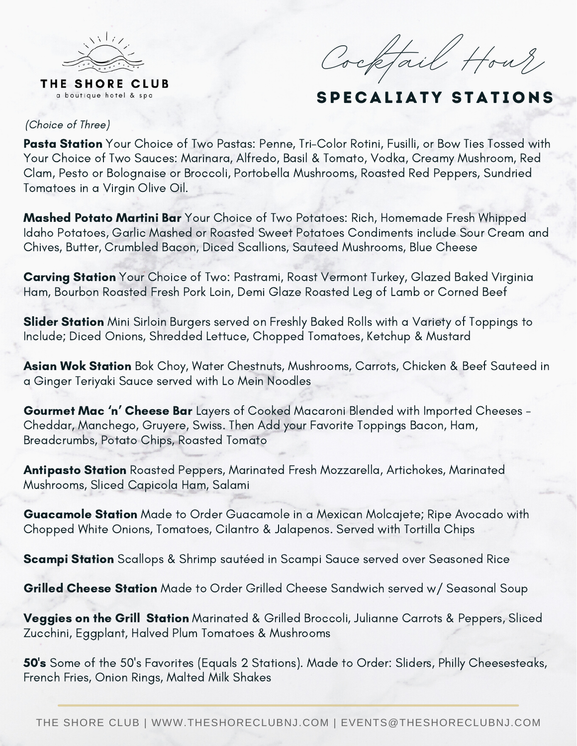

Cocktail Hour

#### SPECALIATY STATIONS

#### (Choice of Three)

Pasta Station Your Choice of Two Pastas: Penne, Tri-Color Rotini, Fusilli, or Bow Ties Tossed with Your Choice of Two Sauces: Marinara, Alfredo, Basil & Tomato, Vodka, Creamy Mushroom, Red Clam, Pesto or Bolognaise or Broccoli, Portobella Mushrooms, Roasted Red Peppers, Sundried Tomatoes in a Virgin Olive Oil.

Mashed Potato Martini Bar Your Choice of Two Potatoes: Rich, Homemade Fresh Whipped Idaho Potatoes, Garlic Mashed or Roasted Sweet Potatoes Condiments include Sour Cream and Chives, Butter, Crumbled Bacon, Diced Scallions, Sauteed Mushrooms, Blue Cheese

Carving Station Your Choice of Two: Pastrami, Roast Vermont Turkey, Glazed Baked Virginia Ham, Bourbon Roasted Fresh Pork Loin, Demi Glaze Roasted Leg of Lamb or Corned Beef

Slider Station Mini Sirloin Burgers served on Freshly Baked Rolls with a Variety of Toppings to Include; Diced Onions, Shredded Lettuce, Chopped Tomatoes, Ketchup & Mustard

Asian Wok Station Bok Choy, Water Chestnuts, Mushrooms, Carrots, Chicken & Beef Sauteed in a Ginger Teriyaki Sauce served with Lo Mein Noodles

Gourmet Mac 'n' Cheese Bar Layers of Cooked Macaroni Blended with Imported Cheeses - Cheddar, Manchego, Gruyere, Swiss. Then Add your Favorite Toppings Bacon, Ham, Breadcrumbs, Potato Chips, Roasted Tomato

Antipasto Station Roasted Peppers, Marinated Fresh Mozzarella, Artichokes, Marinated Mushrooms, Sliced Capicola Ham, Salami

Guacamole Station Made to Order Guacamole in a Mexican Molcajete; Ripe Avocado with Chopped White Onions, Tomatoes, Cilantro & Jalapenos. Served with Tortilla Chips

**Scampi Station** Scallops & Shrimp sautéed in Scampi Sauce served over Seasoned Rice

Grilled Cheese Station Made to Order Grilled Cheese Sandwich served w/ Seasonal Soup

Veggies on the Grill Station Marinated & Grilled Broccoli, Julianne Carrots & Peppers, Sliced Zucchini, Eggplant, Halved Plum Tomatoes & Mushrooms

50's Some of the 50's Favorites (Equals 2 Stations). Made to Order: Sliders, Philly Cheesesteaks, French Fries, Onion Rings, Malted Milk Shakes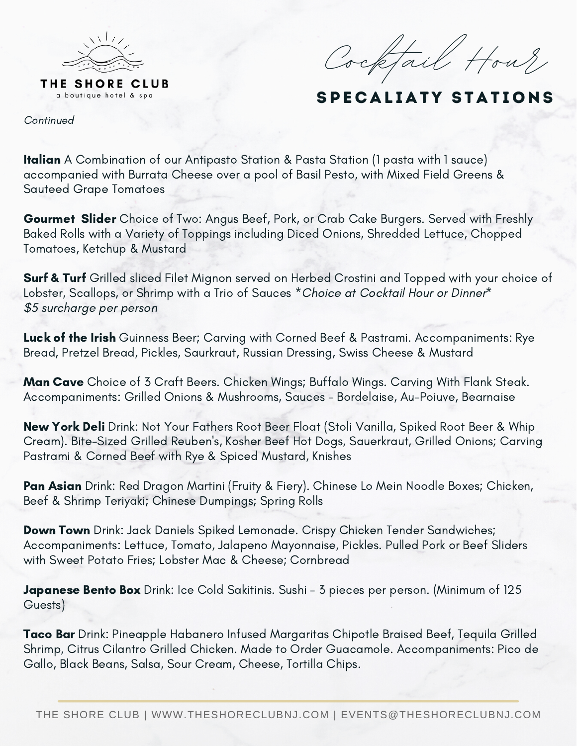

Cocktail Hour

#### SPECALIATY STATIONS

Continued

**Italian** A Combination of our Antipasto Station & Pasta Station (1 pasta with 1 sauce) accompanied with Burrata Cheese over a pool of Basil Pesto, with Mixed Field Greens & Sauteed Grape Tomatoes

Gourmet Slider Choice of Two: Angus Beef, Pork, or Crab Cake Burgers. Served with Freshly Baked Rolls with a Variety of Toppings including Diced Onions, Shredded Lettuce, Chopped Tomatoes, Ketchup & Mustard

Surf & Turf Grilled sliced Filet Mignon served on Herbed Crostini and Topped with your choice of Lobster, Scallops, or Shrimp with a Trio of Sauces \* Choice at Cocktail Hour or Dinner\* \$5 surcharge per person

Luck of the Irish Guinness Beer; Carving with Corned Beef & Pastrami. Accompaniments: Rye Bread, Pretzel Bread, Pickles, Saurkraut, Russian Dressing, Swiss Cheese & Mustard

Man Cave Choice of 3 Craft Beers. Chicken Wings; Buffalo Wings. Carving With Flank Steak. Accompaniments: Grilled Onions & Mushrooms, Sauces - Bordelaise, Au-Poiuve, Bearnaise

New York Deli Drink: Not Your Fathers Root Beer Float (Stoli Vanilla, Spiked Root Beer & Whip Cream). Bite-Sized Grilled Reuben's, Kosher Beef Hot Dogs, Sauerkraut, Grilled Onions; Carving Pastrami & Corned Beef with Rye & Spiced Mustard, Knishes

Pan Asian Drink: Red Dragon Martini (Fruity & Fiery). Chinese Lo Mein Noodle Boxes; Chicken, Beef & Shrimp Teriyaki; Chinese Dumpings; Spring Rolls

Down Town Drink: Jack Daniels Spiked Lemonade. Crispy Chicken Tender Sandwiches; Accompaniments: Lettuce, Tomato, Jalapeno Mayonnaise, Pickles. Pulled Pork or Beef Sliders with Sweet Potato Fries; Lobster Mac & Cheese; Cornbread

Japanese Bento Box Drink: Ice Cold Sakitinis. Sushi - 3 pieces per person. (Minimum of 125 Guests)

Taco Bar Drink: Pineapple Habanero Infused Margaritas Chipotle Braised Beef, Tequila Grilled Shrimp, Citrus Cilantro Grilled Chicken. Made to Order Guacamole. Accompaniments: Pico de Gallo, Black Beans, Salsa, Sour Cream, Cheese, Tortilla Chips.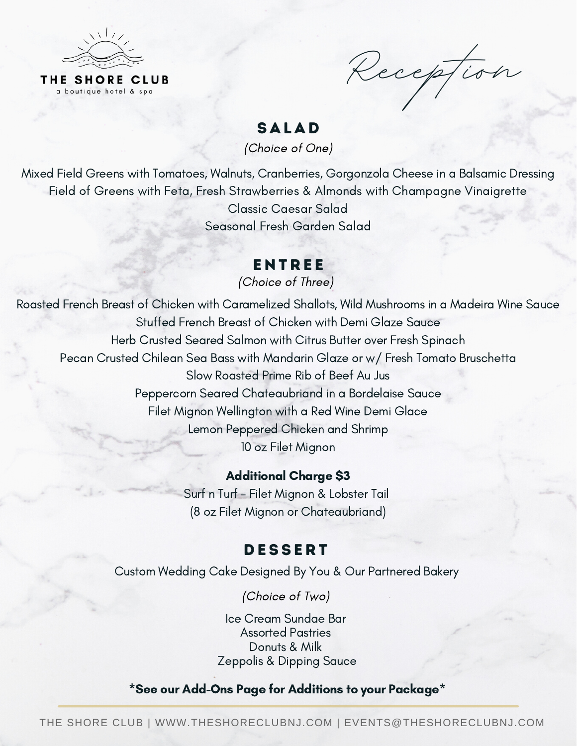

Reception

#### **SALAD**

(Choice of One)

Mixed Field Greens with Tomatoes, Walnuts, Cranberries, Gorgonzola Cheese in a Balsamic Dressing Field of Greens with Feta, Fresh Strawberries & Almonds with Champagne Vinaigrette Classic Caesar Salad Seasonal Fresh Garden Salad

#### **ENTREE**

(Choice of Three)

Roasted French Breast of Chicken with Caramelized Shallots, Wild Mushrooms in a Madeira Wine Sauce Stuffed French Breast of Chicken with Demi Glaze Sauce Herb Crusted Seared Salmon with Citrus Butter over Fresh Spinach Pecan Crusted Chilean Sea Bass with Mandarin Glaze or w/ Fresh Tomato Bruschetta Slow Roasted Prime Rib of Beef Au Jus Peppercorn Seared Chateaubriand in a Bordelaise Sauce Filet Mignon Wellington with a Red Wine Demi Glace Lemon Peppered Chicken and Shrimp 10 oz Filet Mignon

#### Additional Charge \$3 Surf n Turf - Filet Mignon & Lobster Tail

(8 oz Filet Mignon or Chateaubriand)

#### **DESSERT**

Custom Wedding Cake Designed By You & Our Partnered Bakery

(Choice of Two)

Ice Cream Sundae Bar Assorted Pastries Donuts & Milk Zeppolis & Dipping Sauce

\*See our Add-Ons Page for Additions to your Package\*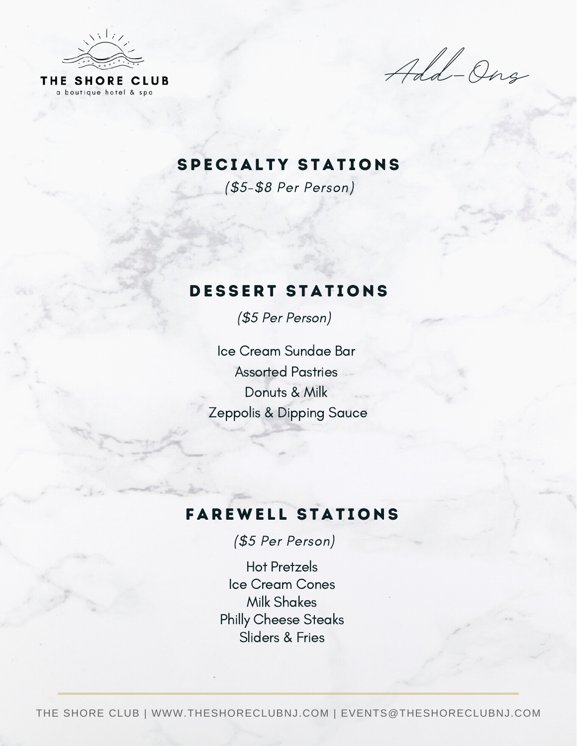

Add-Ons

#### SPECIALTY STATIONS

(\$5-\$8 Per Person)

#### DESSERT STATIONS

(\$5 Per Person)

Ice Cream Sundae Bar Assorted Pastries Donuts & Milk Zeppolis & Dipping Sauce

## **FAREWELL STATIONS**

(\$5 Per Person)

Hot Pretzels Ice Cream Cones Milk Shakes Philly Cheese Steaks Sliders & Fries

THE SHORE CLUB | WWW.THESHORECLUBNJ.COM | EVENTS@THESHORECLUBNJ.COM